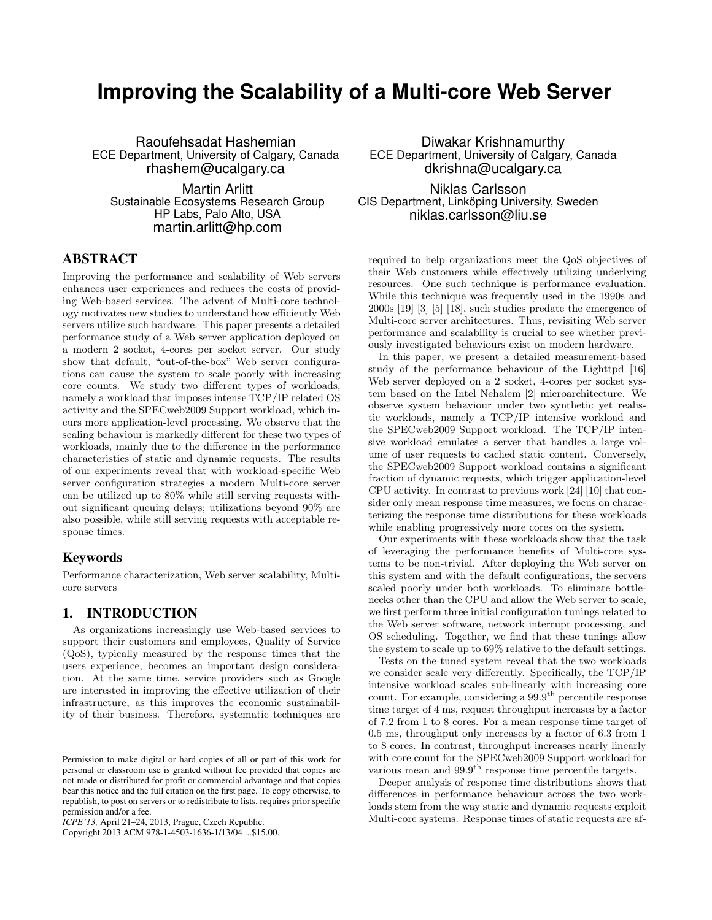# **Improving the Scalability of a Multi-core Web Server**

Raoufehsadat Hashemian ECE Department, University of Calgary, Canada rhashem@ucalgary.ca

Martin Arlitt Sustainable Ecosystems Research Group HP Labs, Palo Alto, USA martin.arlitt@hp.com

## ABSTRACT

Improving the performance and scalability of Web servers enhances user experiences and reduces the costs of providing Web-based services. The advent of Multi-core technology motivates new studies to understand how efficiently Web servers utilize such hardware. This paper presents a detailed performance study of a Web server application deployed on a modern 2 socket, 4-cores per socket server. Our study show that default, "out-of-the-box" Web server configurations can cause the system to scale poorly with increasing core counts. We study two different types of workloads, namely a workload that imposes intense TCP/IP related OS activity and the SPECweb2009 Support workload, which incurs more application-level processing. We observe that the scaling behaviour is markedly different for these two types of workloads, mainly due to the difference in the performance characteristics of static and dynamic requests. The results of our experiments reveal that with workload-specific Web server configuration strategies a modern Multi-core server can be utilized up to 80% while still serving requests without significant queuing delays; utilizations beyond 90% are also possible, while still serving requests with acceptable response times.

#### Keywords

Performance characterization, Web server scalability, Multicore servers

## 1. INTRODUCTION

As organizations increasingly use Web-based services to support their customers and employees, Quality of Service (QoS), typically measured by the response times that the users experience, becomes an important design consideration. At the same time, service providers such as Google are interested in improving the effective utilization of their infrastructure, as this improves the economic sustainability of their business. Therefore, systematic techniques are

Copyright 2013 ACM 978-1-4503-1636-1/13/04 ...\$15.00.

Diwakar Krishnamurthy ECE Department, University of Calgary, Canada dkrishna@ucalgary.ca

Niklas Carlsson CIS Department, Linköping University, Sweden niklas.carlsson@liu.se

required to help organizations meet the QoS objectives of their Web customers while effectively utilizing underlying resources. One such technique is performance evaluation. While this technique was frequently used in the 1990s and 2000s [19] [3] [5] [18], such studies predate the emergence of Multi-core server architectures. Thus, revisiting Web server performance and scalability is crucial to see whether previously investigated behaviours exist on modern hardware.

In this paper, we present a detailed measurement-based study of the performance behaviour of the Lighttpd [16] Web server deployed on a 2 socket, 4-cores per socket system based on the Intel Nehalem [2] microarchitecture. We observe system behaviour under two synthetic yet realistic workloads, namely a TCP/IP intensive workload and the SPECweb2009 Support workload. The TCP/IP intensive workload emulates a server that handles a large volume of user requests to cached static content. Conversely, the SPECweb2009 Support workload contains a significant fraction of dynamic requests, which trigger application-level CPU activity. In contrast to previous work [24] [10] that consider only mean response time measures, we focus on characterizing the response time distributions for these workloads while enabling progressively more cores on the system.

Our experiments with these workloads show that the task of leveraging the performance benefits of Multi-core systems to be non-trivial. After deploying the Web server on this system and with the default configurations, the servers scaled poorly under both workloads. To eliminate bottlenecks other than the CPU and allow the Web server to scale, we first perform three initial configuration tunings related to the Web server software, network interrupt processing, and OS scheduling. Together, we find that these tunings allow the system to scale up to 69% relative to the default settings.

Tests on the tuned system reveal that the two workloads we consider scale very differently. Specifically, the TCP/IP intensive workload scales sub-linearly with increasing core count. For example, considering a  $99.9<sup>th</sup>$  percentile response time target of 4 ms, request throughput increases by a factor of 7.2 from 1 to 8 cores. For a mean response time target of 0.5 ms, throughput only increases by a factor of 6.3 from 1 to 8 cores. In contrast, throughput increases nearly linearly with core count for the SPECweb2009 Support workload for various mean and 99.9<sup>th</sup> response time percentile targets.

Deeper analysis of response time distributions shows that differences in performance behaviour across the two workloads stem from the way static and dynamic requests exploit Multi-core systems. Response times of static requests are af-

Permission to make digital or hard copies of all or part of this work for personal or classroom use is granted without fee provided that copies are not made or distributed for profit or commercial advantage and that copies bear this notice and the full citation on the first page. To copy otherwise, to republish, to post on servers or to redistribute to lists, requires prior specific permission and/or a fee.

*ICPE'13,* April 21–24, 2013, Prague, Czech Republic.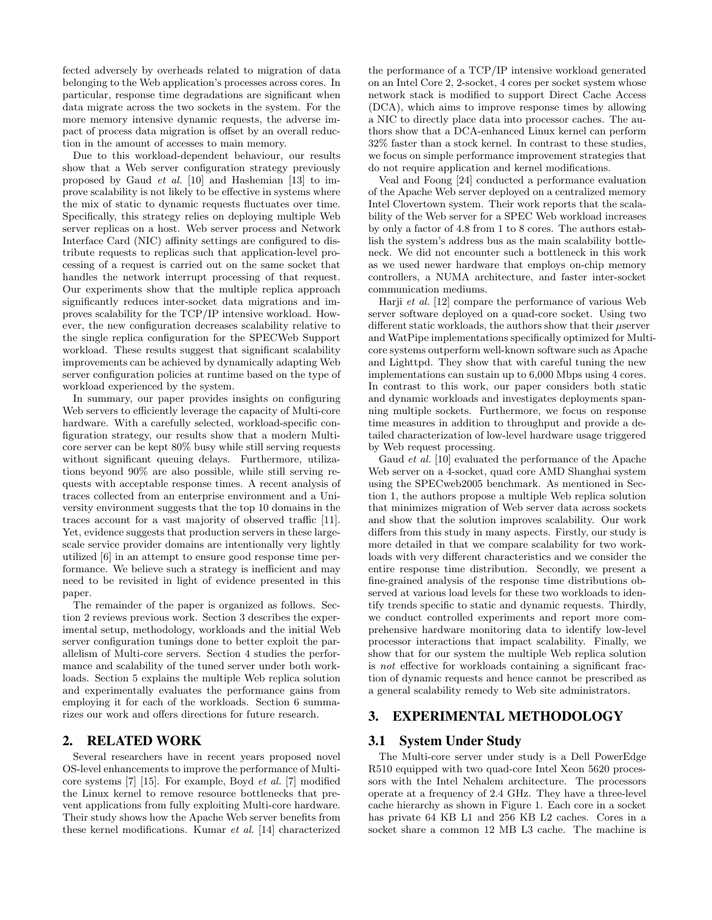fected adversely by overheads related to migration of data belonging to the Web application's processes across cores. In particular, response time degradations are significant when data migrate across the two sockets in the system. For the more memory intensive dynamic requests, the adverse impact of process data migration is offset by an overall reduction in the amount of accesses to main memory.

Due to this workload-dependent behaviour, our results show that a Web server configuration strategy previously proposed by Gaud et al. [10] and Hashemian [13] to improve scalability is not likely to be effective in systems where the mix of static to dynamic requests fluctuates over time. Specifically, this strategy relies on deploying multiple Web server replicas on a host. Web server process and Network Interface Card (NIC) affinity settings are configured to distribute requests to replicas such that application-level processing of a request is carried out on the same socket that handles the network interrupt processing of that request. Our experiments show that the multiple replica approach significantly reduces inter-socket data migrations and improves scalability for the TCP/IP intensive workload. However, the new configuration decreases scalability relative to the single replica configuration for the SPECWeb Support workload. These results suggest that significant scalability improvements can be achieved by dynamically adapting Web server configuration policies at runtime based on the type of workload experienced by the system.

In summary, our paper provides insights on configuring Web servers to efficiently leverage the capacity of Multi-core hardware. With a carefully selected, workload-specific configuration strategy, our results show that a modern Multicore server can be kept 80% busy while still serving requests without significant queuing delays. Furthermore, utilizations beyond 90% are also possible, while still serving requests with acceptable response times. A recent analysis of traces collected from an enterprise environment and a University environment suggests that the top 10 domains in the traces account for a vast majority of observed traffic [11]. Yet, evidence suggests that production servers in these largescale service provider domains are intentionally very lightly utilized [6] in an attempt to ensure good response time performance. We believe such a strategy is inefficient and may need to be revisited in light of evidence presented in this paper.

The remainder of the paper is organized as follows. Section 2 reviews previous work. Section 3 describes the experimental setup, methodology, workloads and the initial Web server configuration tunings done to better exploit the parallelism of Multi-core servers. Section 4 studies the performance and scalability of the tuned server under both workloads. Section 5 explains the multiple Web replica solution and experimentally evaluates the performance gains from employing it for each of the workloads. Section 6 summarizes our work and offers directions for future research.

## 2. RELATED WORK

Several researchers have in recent years proposed novel OS-level enhancements to improve the performance of Multicore systems [7] [15]. For example, Boyd et al. [7] modified the Linux kernel to remove resource bottlenecks that prevent applications from fully exploiting Multi-core hardware. Their study shows how the Apache Web server benefits from these kernel modifications. Kumar et al. [14] characterized the performance of a TCP/IP intensive workload generated on an Intel Core 2, 2-socket, 4 cores per socket system whose network stack is modified to support Direct Cache Access (DCA), which aims to improve response times by allowing a NIC to directly place data into processor caches. The authors show that a DCA-enhanced Linux kernel can perform 32% faster than a stock kernel. In contrast to these studies, we focus on simple performance improvement strategies that do not require application and kernel modifications.

Veal and Foong [24] conducted a performance evaluation of the Apache Web server deployed on a centralized memory Intel Clovertown system. Their work reports that the scalability of the Web server for a SPEC Web workload increases by only a factor of 4.8 from 1 to 8 cores. The authors establish the system's address bus as the main scalability bottleneck. We did not encounter such a bottleneck in this work as we used newer hardware that employs on-chip memory controllers, a NUMA architecture, and faster inter-socket communication mediums.

Harji et al. [12] compare the performance of various Web server software deployed on a quad-core socket. Using two different static workloads, the authors show that their  $\mu$ server and WatPipe implementations specifically optimized for Multicore systems outperform well-known software such as Apache and Lighttpd. They show that with careful tuning the new implementations can sustain up to 6,000 Mbps using 4 cores. In contrast to this work, our paper considers both static and dynamic workloads and investigates deployments spanning multiple sockets. Furthermore, we focus on response time measures in addition to throughput and provide a detailed characterization of low-level hardware usage triggered by Web request processing.

Gaud *et al.* [10] evaluated the performance of the Apache Web server on a 4-socket, quad core AMD Shanghai system using the SPECweb2005 benchmark. As mentioned in Section 1, the authors propose a multiple Web replica solution that minimizes migration of Web server data across sockets and show that the solution improves scalability. Our work differs from this study in many aspects. Firstly, our study is more detailed in that we compare scalability for two workloads with very different characteristics and we consider the entire response time distribution. Secondly, we present a fine-grained analysis of the response time distributions observed at various load levels for these two workloads to identify trends specific to static and dynamic requests. Thirdly, we conduct controlled experiments and report more comprehensive hardware monitoring data to identify low-level processor interactions that impact scalability. Finally, we show that for our system the multiple Web replica solution is not effective for workloads containing a significant fraction of dynamic requests and hence cannot be prescribed as a general scalability remedy to Web site administrators.

## 3. EXPERIMENTAL METHODOLOGY

## 3.1 System Under Study

The Multi-core server under study is a Dell PowerEdge R510 equipped with two quad-core Intel Xeon 5620 processors with the Intel Nehalem architecture. The processors operate at a frequency of 2.4 GHz. They have a three-level cache hierarchy as shown in Figure 1. Each core in a socket has private 64 KB L1 and 256 KB L2 caches. Cores in a socket share a common 12 MB L3 cache. The machine is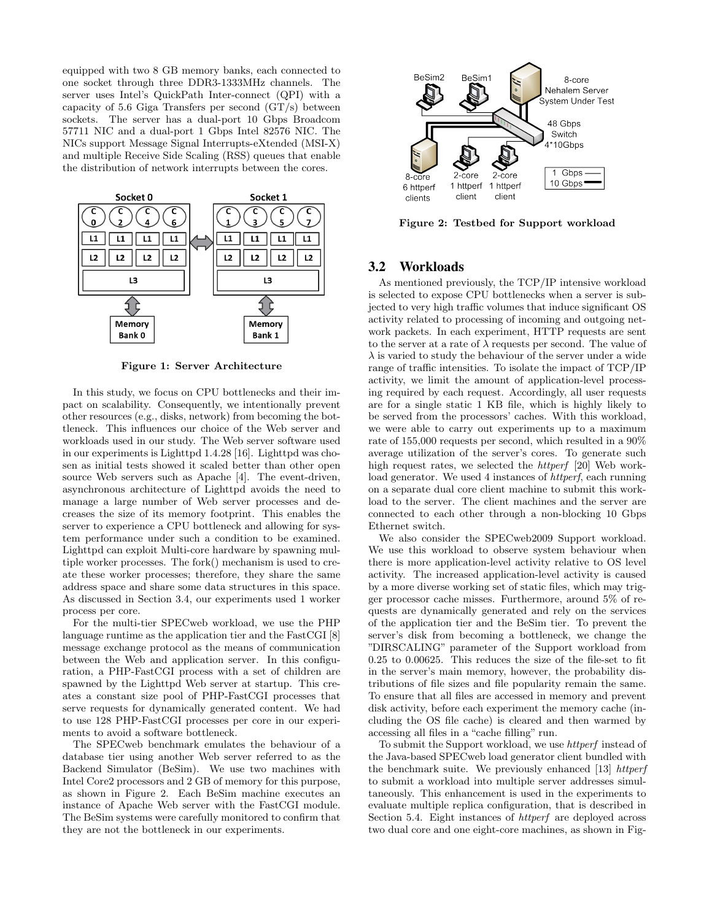equipped with two 8 GB memory banks, each connected to one socket through three DDR3-1333MHz channels. The server uses Intel's QuickPath Inter-connect (QPI) with a capacity of 5.6 Giga Transfers per second  $(GT/s)$  between sockets. The server has a dual-port 10 Gbps Broadcom 57711 NIC and a dual-port 1 Gbps Intel 82576 NIC. The NICs support Message Signal Interrupts-eXtended (MSI-X) and multiple Receive Side Scaling (RSS) queues that enable the distribution of network interrupts between the cores.



Figure 1: Server Architecture

In this study, we focus on CPU bottlenecks and their impact on scalability. Consequently, we intentionally prevent other resources (e.g., disks, network) from becoming the bottleneck. This influences our choice of the Web server and workloads used in our study. The Web server software used in our experiments is Lighttpd 1.4.28 [16]. Lighttpd was chosen as initial tests showed it scaled better than other open source Web servers such as Apache [4]. The event-driven, asynchronous architecture of Lighttpd avoids the need to manage a large number of Web server processes and decreases the size of its memory footprint. This enables the server to experience a CPU bottleneck and allowing for system performance under such a condition to be examined. Lighttpd can exploit Multi-core hardware by spawning multiple worker processes. The fork() mechanism is used to create these worker processes; therefore, they share the same address space and share some data structures in this space. As discussed in Section 3.4, our experiments used 1 worker process per core.

For the multi-tier SPECweb workload, we use the PHP language runtime as the application tier and the FastCGI [8] message exchange protocol as the means of communication between the Web and application server. In this configuration, a PHP-FastCGI process with a set of children are spawned by the Lighttpd Web server at startup. This creates a constant size pool of PHP-FastCGI processes that serve requests for dynamically generated content. We had to use 128 PHP-FastCGI processes per core in our experiments to avoid a software bottleneck.

The SPECweb benchmark emulates the behaviour of a database tier using another Web server referred to as the Backend Simulator (BeSim). We use two machines with Intel Core2 processors and 2 GB of memory for this purpose, as shown in Figure 2. Each BeSim machine executes an instance of Apache Web server with the FastCGI module. The BeSim systems were carefully monitored to confirm that they are not the bottleneck in our experiments.



Figure 2: Testbed for Support workload

## 3.2 Workloads

As mentioned previously, the TCP/IP intensive workload is selected to expose CPU bottlenecks when a server is subjected to very high traffic volumes that induce significant OS activity related to processing of incoming and outgoing network packets. In each experiment, HTTP requests are sent to the server at a rate of  $\lambda$  requests per second. The value of  $\lambda$  is varied to study the behaviour of the server under a wide range of traffic intensities. To isolate the impact of TCP/IP activity, we limit the amount of application-level processing required by each request. Accordingly, all user requests are for a single static 1 KB file, which is highly likely to be served from the processors' caches. With this workload, we were able to carry out experiments up to a maximum rate of 155,000 requests per second, which resulted in a 90% average utilization of the server's cores. To generate such high request rates, we selected the *httperf* [20] Web workload generator. We used 4 instances of *httperf*, each running on a separate dual core client machine to submit this workload to the server. The client machines and the server are connected to each other through a non-blocking 10 Gbps Ethernet switch.

We also consider the SPECweb2009 Support workload. We use this workload to observe system behaviour when there is more application-level activity relative to OS level activity. The increased application-level activity is caused by a more diverse working set of static files, which may trigger processor cache misses. Furthermore, around 5% of requests are dynamically generated and rely on the services of the application tier and the BeSim tier. To prevent the server's disk from becoming a bottleneck, we change the "DIRSCALING" parameter of the Support workload from 0.25 to 0.00625. This reduces the size of the file-set to fit in the server's main memory, however, the probability distributions of file sizes and file popularity remain the same. To ensure that all files are accessed in memory and prevent disk activity, before each experiment the memory cache (including the OS file cache) is cleared and then warmed by accessing all files in a "cache filling" run.

To submit the Support workload, we use *httperf* instead of the Java-based SPECweb load generator client bundled with the benchmark suite. We previously enhanced [13] httperf to submit a workload into multiple server addresses simultaneously. This enhancement is used in the experiments to evaluate multiple replica configuration, that is described in Section 5.4. Eight instances of httperf are deployed across two dual core and one eight-core machines, as shown in Fig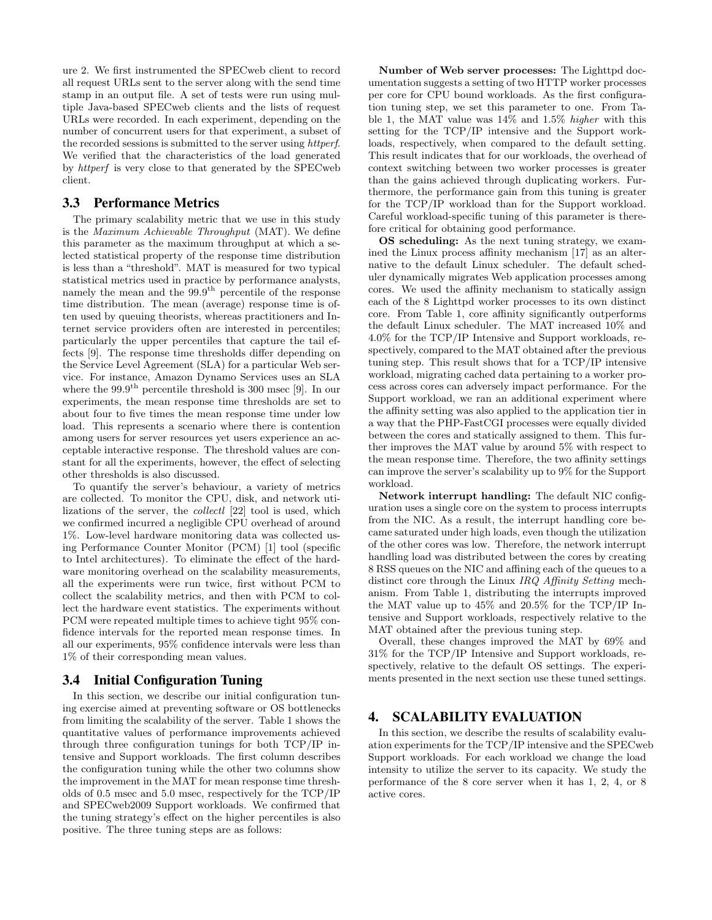ure 2. We first instrumented the SPECweb client to record all request URLs sent to the server along with the send time stamp in an output file. A set of tests were run using multiple Java-based SPECweb clients and the lists of request URLs were recorded. In each experiment, depending on the number of concurrent users for that experiment, a subset of the recorded sessions is submitted to the server using httperf. We verified that the characteristics of the load generated by httperf is very close to that generated by the SPECweb client.

### 3.3 Performance Metrics

The primary scalability metric that we use in this study is the Maximum Achievable Throughput (MAT). We define this parameter as the maximum throughput at which a selected statistical property of the response time distribution is less than a "threshold". MAT is measured for two typical statistical metrics used in practice by performance analysts, namely the mean and the  $99.9<sup>th</sup>$  percentile of the response time distribution. The mean (average) response time is often used by queuing theorists, whereas practitioners and Internet service providers often are interested in percentiles; particularly the upper percentiles that capture the tail effects [9]. The response time thresholds differ depending on the Service Level Agreement (SLA) for a particular Web service. For instance, Amazon Dynamo Services uses an SLA where the  $99.9<sup>th</sup>$  percentile threshold is 300 msec [9]. In our experiments, the mean response time thresholds are set to about four to five times the mean response time under low load. This represents a scenario where there is contention among users for server resources yet users experience an acceptable interactive response. The threshold values are constant for all the experiments, however, the effect of selecting other thresholds is also discussed.

To quantify the server's behaviour, a variety of metrics are collected. To monitor the CPU, disk, and network utilizations of the server, the collectl [22] tool is used, which we confirmed incurred a negligible CPU overhead of around 1%. Low-level hardware monitoring data was collected using Performance Counter Monitor (PCM) [1] tool (specific to Intel architectures). To eliminate the effect of the hardware monitoring overhead on the scalability measurements, all the experiments were run twice, first without PCM to collect the scalability metrics, and then with PCM to collect the hardware event statistics. The experiments without PCM were repeated multiple times to achieve tight 95% confidence intervals for the reported mean response times. In all our experiments, 95% confidence intervals were less than 1% of their corresponding mean values.

## 3.4 Initial Configuration Tuning

In this section, we describe our initial configuration tuning exercise aimed at preventing software or OS bottlenecks from limiting the scalability of the server. Table 1 shows the quantitative values of performance improvements achieved through three configuration tunings for both TCP/IP intensive and Support workloads. The first column describes the configuration tuning while the other two columns show the improvement in the MAT for mean response time thresholds of 0.5 msec and 5.0 msec, respectively for the TCP/IP and SPECweb2009 Support workloads. We confirmed that the tuning strategy's effect on the higher percentiles is also positive. The three tuning steps are as follows:

Number of Web server processes: The Lighttpd documentation suggests a setting of two HTTP worker processes per core for CPU bound workloads. As the first configuration tuning step, we set this parameter to one. From Table 1, the MAT value was 14% and 1.5% higher with this setting for the TCP/IP intensive and the Support workloads, respectively, when compared to the default setting. This result indicates that for our workloads, the overhead of context switching between two worker processes is greater than the gains achieved through duplicating workers. Furthermore, the performance gain from this tuning is greater for the TCP/IP workload than for the Support workload. Careful workload-specific tuning of this parameter is therefore critical for obtaining good performance.

OS scheduling: As the next tuning strategy, we examined the Linux process affinity mechanism [17] as an alternative to the default Linux scheduler. The default scheduler dynamically migrates Web application processes among cores. We used the affinity mechanism to statically assign each of the 8 Lighttpd worker processes to its own distinct core. From Table 1, core affinity significantly outperforms the default Linux scheduler. The MAT increased 10% and 4.0% for the TCP/IP Intensive and Support workloads, respectively, compared to the MAT obtained after the previous tuning step. This result shows that for a TCP/IP intensive workload, migrating cached data pertaining to a worker process across cores can adversely impact performance. For the Support workload, we ran an additional experiment where the affinity setting was also applied to the application tier in a way that the PHP-FastCGI processes were equally divided between the cores and statically assigned to them. This further improves the MAT value by around 5% with respect to the mean response time. Therefore, the two affinity settings can improve the server's scalability up to 9% for the Support workload.

Network interrupt handling: The default NIC configuration uses a single core on the system to process interrupts from the NIC. As a result, the interrupt handling core became saturated under high loads, even though the utilization of the other cores was low. Therefore, the network interrupt handling load was distributed between the cores by creating 8 RSS queues on the NIC and affining each of the queues to a distinct core through the Linux IRQ Affinity Setting mechanism. From Table 1, distributing the interrupts improved the MAT value up to 45% and 20.5% for the TCP/IP Intensive and Support workloads, respectively relative to the MAT obtained after the previous tuning step.

Overall, these changes improved the MAT by 69% and 31% for the TCP/IP Intensive and Support workloads, respectively, relative to the default OS settings. The experiments presented in the next section use these tuned settings.

## 4. SCALABILITY EVALUATION

In this section, we describe the results of scalability evaluation experiments for the TCP/IP intensive and the SPECweb Support workloads. For each workload we change the load intensity to utilize the server to its capacity. We study the performance of the 8 core server when it has 1, 2, 4, or 8 active cores.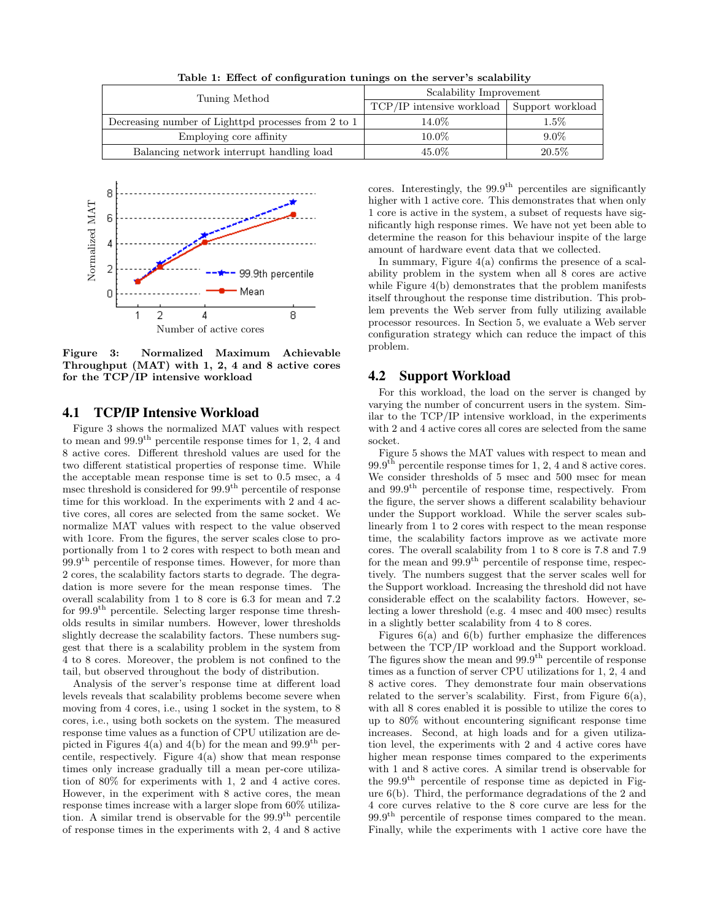Table 1: Effect of configuration tunings on the server's scalability

| Tuning Method                                       | Scalability Improvement   |                  |
|-----------------------------------------------------|---------------------------|------------------|
|                                                     | TCP/IP intensive workload | Support workload |
| Decreasing number of Lighttpd processes from 2 to 1 | $14.0\%$                  | $1.5\%$          |
| Employing core affinity                             | $10.0\%$                  | $9.0\%$          |
| Balancing network interrupt handling load           | 45.0%                     | $20.5\%$         |



Figure 3: Normalized Maximum Achievable Throughput (MAT) with 1, 2, 4 and 8 active cores for the TCP/IP intensive workload

### 4.1 TCP/IP Intensive Workload

Figure 3 shows the normalized MAT values with respect to mean and  $99.9<sup>th</sup>$  percentile response times for 1, 2, 4 and 8 active cores. Different threshold values are used for the two different statistical properties of response time. While the acceptable mean response time is set to 0.5 msec, a 4 msec threshold is considered for 99.9<sup>th</sup> percentile of response time for this workload. In the experiments with 2 and 4 active cores, all cores are selected from the same socket. We normalize MAT values with respect to the value observed with 1core. From the figures, the server scales close to proportionally from 1 to 2 cores with respect to both mean and 99.9th percentile of response times. However, for more than 2 cores, the scalability factors starts to degrade. The degradation is more severe for the mean response times. The overall scalability from 1 to 8 core is 6.3 for mean and 7.2 for 99.9th percentile. Selecting larger response time thresholds results in similar numbers. However, lower thresholds slightly decrease the scalability factors. These numbers suggest that there is a scalability problem in the system from 4 to 8 cores. Moreover, the problem is not confined to the tail, but observed throughout the body of distribution.

Analysis of the server's response time at different load levels reveals that scalability problems become severe when moving from 4 cores, i.e., using 1 socket in the system, to 8 cores, i.e., using both sockets on the system. The measured response time values as a function of CPU utilization are depicted in Figures 4(a) and 4(b) for the mean and  $99.9<sup>th</sup>$  percentile, respectively. Figure 4(a) show that mean response times only increase gradually till a mean per-core utilization of 80% for experiments with 1, 2 and 4 active cores. However, in the experiment with 8 active cores, the mean response times increase with a larger slope from 60% utilization. A similar trend is observable for the  $99.9<sup>th</sup>$  percentile of response times in the experiments with 2, 4 and 8 active

cores. Interestingly, the  $99.9<sup>th</sup>$  percentiles are significantly higher with 1 active core. This demonstrates that when only 1 core is active in the system, a subset of requests have significantly high response rimes. We have not yet been able to determine the reason for this behaviour inspite of the large amount of hardware event data that we collected.

In summary, Figure 4(a) confirms the presence of a scalability problem in the system when all 8 cores are active while Figure 4(b) demonstrates that the problem manifests itself throughout the response time distribution. This problem prevents the Web server from fully utilizing available processor resources. In Section 5, we evaluate a Web server configuration strategy which can reduce the impact of this problem.

### 4.2 Support Workload

For this workload, the load on the server is changed by varying the number of concurrent users in the system. Similar to the TCP/IP intensive workload, in the experiments with 2 and 4 active cores all cores are selected from the same socket.

Figure 5 shows the MAT values with respect to mean and  $99.9<sup>th</sup>$  percentile response times for 1, 2, 4 and 8 active cores. We consider thresholds of 5 msec and 500 msec for mean and 99.9th percentile of response time, respectively. From the figure, the server shows a different scalability behaviour under the Support workload. While the server scales sublinearly from 1 to 2 cores with respect to the mean response time, the scalability factors improve as we activate more cores. The overall scalability from 1 to 8 core is 7.8 and 7.9 for the mean and  $99.9<sup>th</sup>$  percentile of response time, respectively. The numbers suggest that the server scales well for the Support workload. Increasing the threshold did not have considerable effect on the scalability factors. However, selecting a lower threshold (e.g. 4 msec and 400 msec) results in a slightly better scalability from 4 to 8 cores.

Figures 6(a) and 6(b) further emphasize the differences between the TCP/IP workload and the Support workload. The figures show the mean and  $99.9<sup>th</sup>$  percentile of response times as a function of server CPU utilizations for 1, 2, 4 and 8 active cores. They demonstrate four main observations related to the server's scalability. First, from Figure 6(a), with all 8 cores enabled it is possible to utilize the cores to up to 80% without encountering significant response time increases. Second, at high loads and for a given utilization level, the experiments with 2 and 4 active cores have higher mean response times compared to the experiments with 1 and 8 active cores. A similar trend is observable for the 99.9th percentile of response time as depicted in Figure 6(b). Third, the performance degradations of the 2 and 4 core curves relative to the 8 core curve are less for the 99.9<sup>th</sup> percentile of response times compared to the mean. Finally, while the experiments with 1 active core have the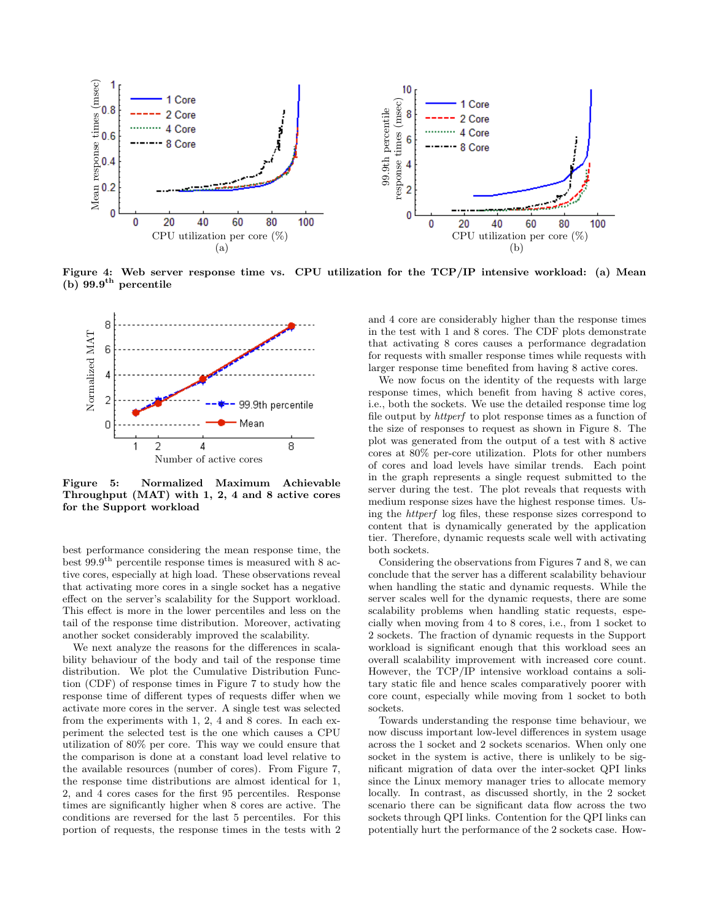

Figure 4: Web server response time vs. CPU utilization for the TCP/IP intensive workload: (a) Mean (b)  $99.9<sup>th</sup>$  percentile



Figure 5: Normalized Maximum Achievable Throughput (MAT) with 1, 2, 4 and 8 active cores for the Support workload

best performance considering the mean response time, the best  $99.9<sup>th</sup>$  percentile response times is measured with 8 active cores, especially at high load. These observations reveal that activating more cores in a single socket has a negative effect on the server's scalability for the Support workload. This effect is more in the lower percentiles and less on the tail of the response time distribution. Moreover, activating another socket considerably improved the scalability.

We next analyze the reasons for the differences in scalability behaviour of the body and tail of the response time distribution. We plot the Cumulative Distribution Function (CDF) of response times in Figure 7 to study how the response time of different types of requests differ when we activate more cores in the server. A single test was selected from the experiments with 1, 2, 4 and 8 cores. In each experiment the selected test is the one which causes a CPU utilization of 80% per core. This way we could ensure that the comparison is done at a constant load level relative to the available resources (number of cores). From Figure 7, the response time distributions are almost identical for 1, 2, and 4 cores cases for the first 95 percentiles. Response times are significantly higher when 8 cores are active. The conditions are reversed for the last 5 percentiles. For this portion of requests, the response times in the tests with 2 and 4 core are considerably higher than the response times in the test with 1 and 8 cores. The CDF plots demonstrate that activating 8 cores causes a performance degradation for requests with smaller response times while requests with larger response time benefited from having 8 active cores.

We now focus on the identity of the requests with large response times, which benefit from having 8 active cores, i.e., both the sockets. We use the detailed response time log file output by httperf to plot response times as a function of the size of responses to request as shown in Figure 8. The plot was generated from the output of a test with 8 active cores at 80% per-core utilization. Plots for other numbers of cores and load levels have similar trends. Each point in the graph represents a single request submitted to the server during the test. The plot reveals that requests with medium response sizes have the highest response times. Using the httperf log files, these response sizes correspond to content that is dynamically generated by the application tier. Therefore, dynamic requests scale well with activating both sockets.

Considering the observations from Figures 7 and 8, we can conclude that the server has a different scalability behaviour when handling the static and dynamic requests. While the server scales well for the dynamic requests, there are some scalability problems when handling static requests, especially when moving from 4 to 8 cores, i.e., from 1 socket to 2 sockets. The fraction of dynamic requests in the Support workload is significant enough that this workload sees an overall scalability improvement with increased core count. However, the TCP/IP intensive workload contains a solitary static file and hence scales comparatively poorer with core count, especially while moving from 1 socket to both sockets.

Towards understanding the response time behaviour, we now discuss important low-level differences in system usage across the 1 socket and 2 sockets scenarios. When only one socket in the system is active, there is unlikely to be significant migration of data over the inter-socket QPI links since the Linux memory manager tries to allocate memory locally. In contrast, as discussed shortly, in the 2 socket scenario there can be significant data flow across the two sockets through QPI links. Contention for the QPI links can potentially hurt the performance of the 2 sockets case. How-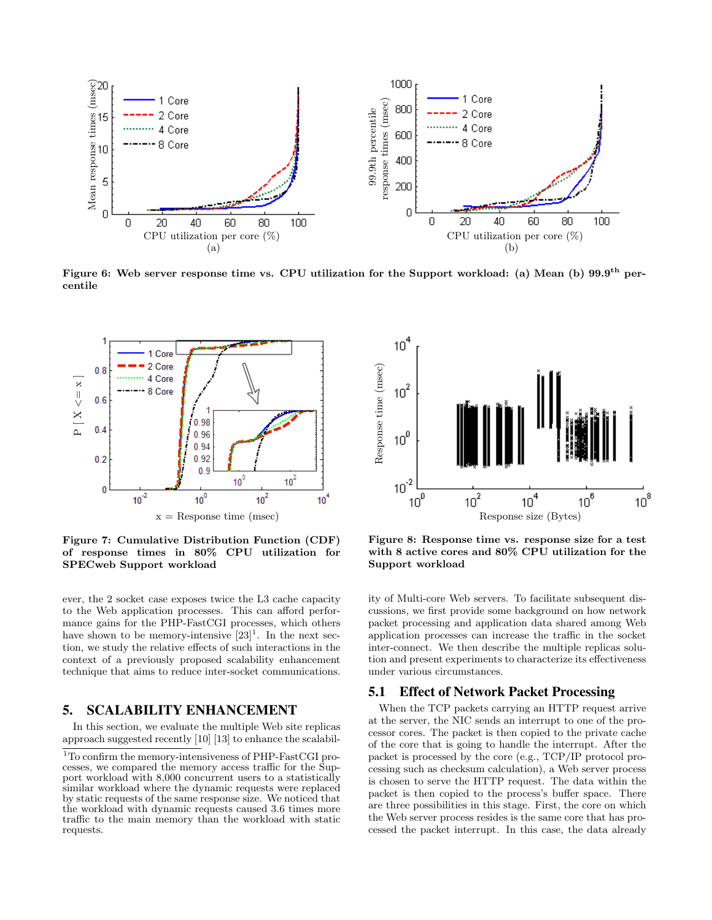

Figure 6: Web server response time vs. CPU utilization for the Support workload: (a) Mean (b) 99.9<sup>th</sup> percentile



Figure 7: Cumulative Distribution Function (CDF) of response times in 80% CPU utilization for SPECweb Support workload

ever, the 2 socket case exposes twice the L3 cache capacity to the Web application processes. This can afford performance gains for the PHP-FastCGI processes, which others have shown to be memory-intensive  $[23]$ <sup>1</sup>. In the next section, we study the relative effects of such interactions in the context of a previously proposed scalability enhancement technique that aims to reduce inter-socket communications.

## 5. SCALABILITY ENHANCEMENT

In this section, we evaluate the multiple Web site replicas approach suggested recently [10] [13] to enhance the scalabil-



Figure 8: Response time vs. response size for a test with 8 active cores and 80% CPU utilization for the Support workload

ity of Multi-core Web servers. To facilitate subsequent discussions, we first provide some background on how network packet processing and application data shared among Web application processes can increase the traffic in the socket inter-connect. We then describe the multiple replicas solution and present experiments to characterize its effectiveness under various circumstances.

#### 5.1 Effect of Network Packet Processing

When the TCP packets carrying an HTTP request arrive at the server, the NIC sends an interrupt to one of the processor cores. The packet is then copied to the private cache of the core that is going to handle the interrupt. After the packet is processed by the core (e.g., TCP/IP protocol processing such as checksum calculation), a Web server process is chosen to serve the HTTP request. The data within the packet is then copied to the process's buffer space. There are three possibilities in this stage. First, the core on which the Web server process resides is the same core that has processed the packet interrupt. In this case, the data already

<sup>&</sup>lt;sup>1</sup>To confirm the memory-intensiveness of PHP-FastCGI processes, we compared the memory access traffic for the Support workload with 8,000 concurrent users to a statistically similar workload where the dynamic requests were replaced by static requests of the same response size. We noticed that the workload with dynamic requests caused 3.6 times more traffic to the main memory than the workload with static requests.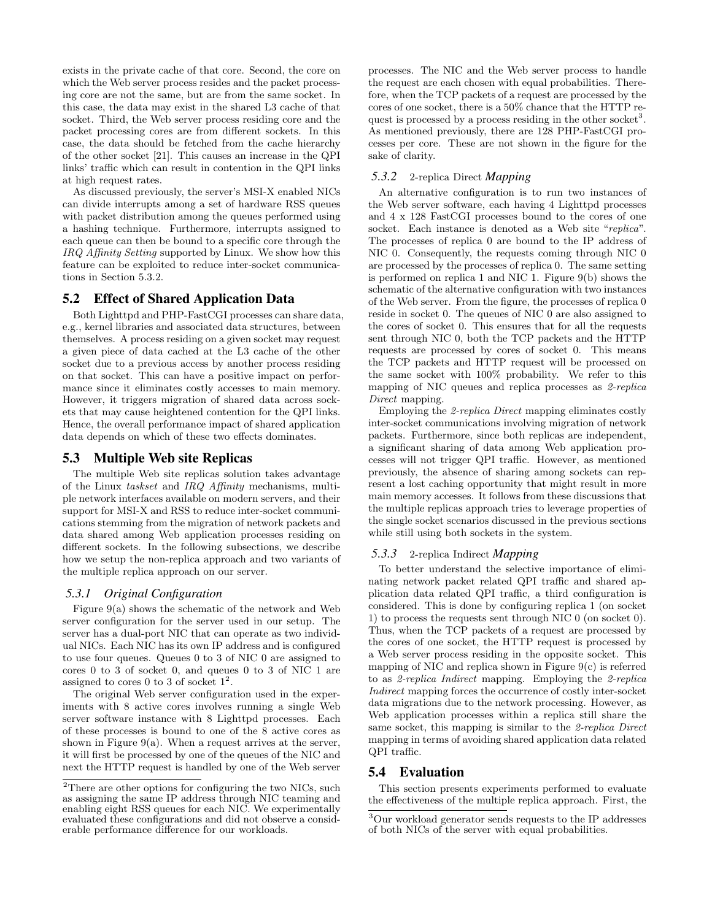exists in the private cache of that core. Second, the core on which the Web server process resides and the packet processing core are not the same, but are from the same socket. In this case, the data may exist in the shared L3 cache of that socket. Third, the Web server process residing core and the packet processing cores are from different sockets. In this case, the data should be fetched from the cache hierarchy of the other socket [21]. This causes an increase in the QPI links' traffic which can result in contention in the QPI links at high request rates.

As discussed previously, the server's MSI-X enabled NICs can divide interrupts among a set of hardware RSS queues with packet distribution among the queues performed using a hashing technique. Furthermore, interrupts assigned to each queue can then be bound to a specific core through the IRQ Affinity Setting supported by Linux. We show how this feature can be exploited to reduce inter-socket communications in Section 5.3.2.

### 5.2 Effect of Shared Application Data

Both Lighttpd and PHP-FastCGI processes can share data, e.g., kernel libraries and associated data structures, between themselves. A process residing on a given socket may request a given piece of data cached at the L3 cache of the other socket due to a previous access by another process residing on that socket. This can have a positive impact on performance since it eliminates costly accesses to main memory. However, it triggers migration of shared data across sockets that may cause heightened contention for the QPI links. Hence, the overall performance impact of shared application data depends on which of these two effects dominates.

#### 5.3 Multiple Web site Replicas

The multiple Web site replicas solution takes advantage of the Linux taskset and IRQ Affinity mechanisms, multiple network interfaces available on modern servers, and their support for MSI-X and RSS to reduce inter-socket communications stemming from the migration of network packets and data shared among Web application processes residing on different sockets. In the following subsections, we describe how we setup the non-replica approach and two variants of the multiple replica approach on our server.

#### *5.3.1 Original Configuration*

Figure 9(a) shows the schematic of the network and Web server configuration for the server used in our setup. The server has a dual-port NIC that can operate as two individual NICs. Each NIC has its own IP address and is configured to use four queues. Queues 0 to 3 of NIC 0 are assigned to cores 0 to 3 of socket 0, and queues 0 to 3 of NIC 1 are assigned to cores 0 to 3 of socket  $1^2$ .

The original Web server configuration used in the experiments with 8 active cores involves running a single Web server software instance with 8 Lighttpd processes. Each of these processes is bound to one of the 8 active cores as shown in Figure  $9(a)$ . When a request arrives at the server, it will first be processed by one of the queues of the NIC and next the HTTP request is handled by one of the Web server processes. The NIC and the Web server process to handle the request are each chosen with equal probabilities. Therefore, when the TCP packets of a request are processed by the cores of one socket, there is a 50% chance that the HTTP request is processed by a process residing in the other socket<sup>3</sup>. As mentioned previously, there are 128 PHP-FastCGI processes per core. These are not shown in the figure for the sake of clarity.

#### *5.3.2* 2-replica Direct *Mapping*

An alternative configuration is to run two instances of the Web server software, each having 4 Lighttpd processes and 4 x 128 FastCGI processes bound to the cores of one socket. Each instance is denoted as a Web site "replica". The processes of replica 0 are bound to the IP address of NIC 0. Consequently, the requests coming through NIC 0 are processed by the processes of replica 0. The same setting is performed on replica 1 and NIC 1. Figure 9(b) shows the schematic of the alternative configuration with two instances of the Web server. From the figure, the processes of replica 0 reside in socket 0. The queues of NIC 0 are also assigned to the cores of socket 0. This ensures that for all the requests sent through NIC 0, both the TCP packets and the HTTP requests are processed by cores of socket 0. This means the TCP packets and HTTP request will be processed on the same socket with 100% probability. We refer to this mapping of NIC queues and replica processes as 2-replica Direct mapping.

Employing the 2-replica Direct mapping eliminates costly inter-socket communications involving migration of network packets. Furthermore, since both replicas are independent, a significant sharing of data among Web application processes will not trigger QPI traffic. However, as mentioned previously, the absence of sharing among sockets can represent a lost caching opportunity that might result in more main memory accesses. It follows from these discussions that the multiple replicas approach tries to leverage properties of the single socket scenarios discussed in the previous sections while still using both sockets in the system.

#### *5.3.3* 2-replica Indirect *Mapping*

To better understand the selective importance of eliminating network packet related QPI traffic and shared application data related QPI traffic, a third configuration is considered. This is done by configuring replica 1 (on socket 1) to process the requests sent through NIC 0 (on socket 0). Thus, when the TCP packets of a request are processed by the cores of one socket, the HTTP request is processed by a Web server process residing in the opposite socket. This mapping of NIC and replica shown in Figure  $9(c)$  is referred to as 2-replica Indirect mapping. Employing the 2-replica Indirect mapping forces the occurrence of costly inter-socket data migrations due to the network processing. However, as Web application processes within a replica still share the same socket, this mapping is similar to the 2-replica Direct mapping in terms of avoiding shared application data related QPI traffic.

### 5.4 Evaluation

This section presents experiments performed to evaluate the effectiveness of the multiple replica approach. First, the

<sup>2</sup>There are other options for configuring the two NICs, such as assigning the same IP address through NIC teaming and enabling eight RSS queues for each NIC. We experimentally evaluated these configurations and did not observe a considerable performance difference for our workloads.

<sup>3</sup>Our workload generator sends requests to the IP addresses of both NICs of the server with equal probabilities.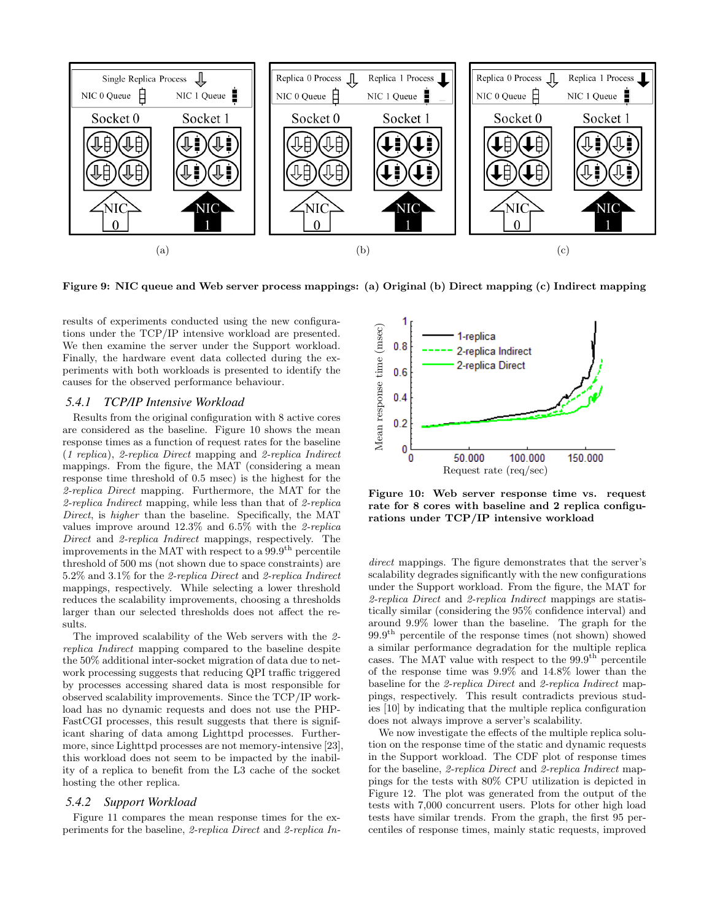

Figure 9: NIC queue and Web server process mappings: (a) Original (b) Direct mapping (c) Indirect mapping

results of experiments conducted using the new configurations under the TCP/IP intensive workload are presented. We then examine the server under the Support workload. Finally, the hardware event data collected during the experiments with both workloads is presented to identify the causes for the observed performance behaviour.

## *5.4.1 TCP/IP Intensive Workload*

Results from the original configuration with 8 active cores are considered as the baseline. Figure 10 shows the mean response times as a function of request rates for the baseline (1 replica), 2-replica Direct mapping and 2-replica Indirect mappings. From the figure, the MAT (considering a mean response time threshold of 0.5 msec) is the highest for the 2-replica Direct mapping. Furthermore, the MAT for the 2-replica Indirect mapping, while less than that of 2-replica Direct, is higher than the baseline. Specifically, the MAT values improve around 12.3% and 6.5% with the 2-replica Direct and 2-replica Indirect mappings, respectively. The improvements in the MAT with respect to a  $99.9<sup>th</sup>$  percentile threshold of 500 ms (not shown due to space constraints) are 5.2% and 3.1% for the 2-replica Direct and 2-replica Indirect mappings, respectively. While selecting a lower threshold reduces the scalability improvements, choosing a thresholds larger than our selected thresholds does not affect the results.

The improved scalability of the Web servers with the 2 replica Indirect mapping compared to the baseline despite the 50% additional inter-socket migration of data due to network processing suggests that reducing QPI traffic triggered by processes accessing shared data is most responsible for observed scalability improvements. Since the TCP/IP workload has no dynamic requests and does not use the PHP-FastCGI processes, this result suggests that there is significant sharing of data among Lighttpd processes. Furthermore, since Lighttpd processes are not memory-intensive [23], this workload does not seem to be impacted by the inability of a replica to benefit from the L3 cache of the socket hosting the other replica.

#### *5.4.2 Support Workload*

Figure 11 compares the mean response times for the experiments for the baseline, 2-replica Direct and 2-replica In-



Figure 10: Web server response time vs. request rate for 8 cores with baseline and 2 replica configurations under TCP/IP intensive workload

direct mappings. The figure demonstrates that the server's scalability degrades significantly with the new configurations under the Support workload. From the figure, the MAT for 2-replica Direct and 2-replica Indirect mappings are statistically similar (considering the 95% confidence interval) and around 9.9% lower than the baseline. The graph for the  $99.9<sup>th</sup>$  percentile of the response times (not shown) showed a similar performance degradation for the multiple replica cases. The MAT value with respect to the  $99.9<sup>th</sup>$  percentile of the response time was 9.9% and 14.8% lower than the baseline for the 2-replica Direct and 2-replica Indirect mappings, respectively. This result contradicts previous studies [10] by indicating that the multiple replica configuration does not always improve a server's scalability.

We now investigate the effects of the multiple replica solution on the response time of the static and dynamic requests in the Support workload. The CDF plot of response times for the baseline, 2-replica Direct and 2-replica Indirect mappings for the tests with 80% CPU utilization is depicted in Figure 12. The plot was generated from the output of the tests with 7,000 concurrent users. Plots for other high load tests have similar trends. From the graph, the first 95 percentiles of response times, mainly static requests, improved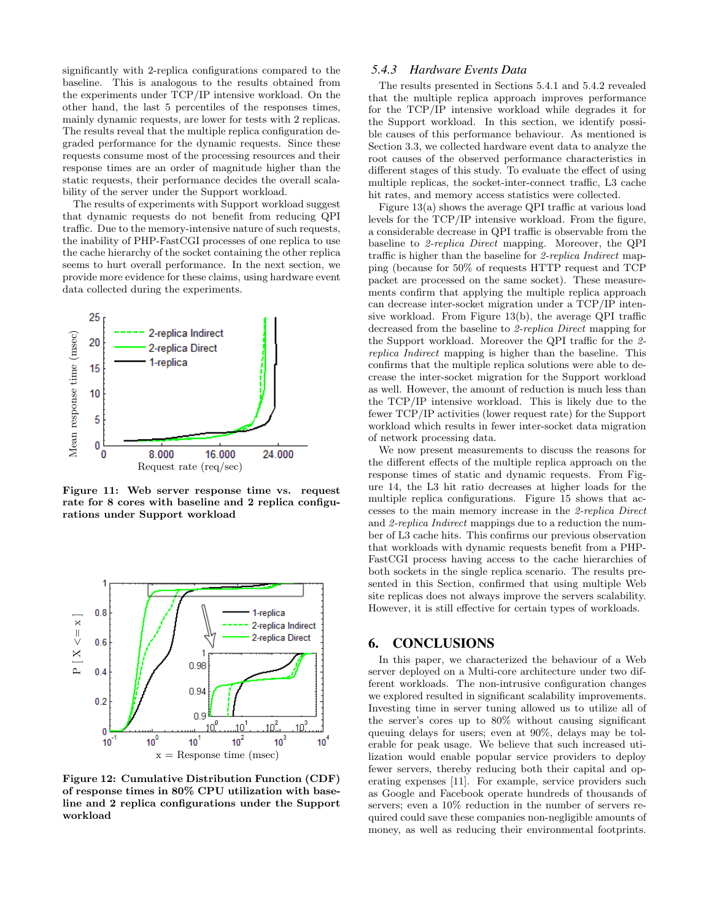significantly with 2-replica configurations compared to the baseline. This is analogous to the results obtained from the experiments under TCP/IP intensive workload. On the other hand, the last 5 percentiles of the responses times, mainly dynamic requests, are lower for tests with 2 replicas. The results reveal that the multiple replica configuration degraded performance for the dynamic requests. Since these requests consume most of the processing resources and their response times are an order of magnitude higher than the static requests, their performance decides the overall scalability of the server under the Support workload.

The results of experiments with Support workload suggest that dynamic requests do not benefit from reducing QPI traffic. Due to the memory-intensive nature of such requests, the inability of PHP-FastCGI processes of one replica to use the cache hierarchy of the socket containing the other replica seems to hurt overall performance. In the next section, we provide more evidence for these claims, using hardware event data collected during the experiments.



Figure 11: Web server response time vs. request rate for 8 cores with baseline and 2 replica configurations under Support workload



Figure 12: Cumulative Distribution Function (CDF) of response times in 80% CPU utilization with baseline and 2 replica configurations under the Support workload

#### *5.4.3 Hardware Events Data*

The results presented in Sections 5.4.1 and 5.4.2 revealed that the multiple replica approach improves performance for the TCP/IP intensive workload while degrades it for the Support workload. In this section, we identify possible causes of this performance behaviour. As mentioned is Section 3.3, we collected hardware event data to analyze the root causes of the observed performance characteristics in different stages of this study. To evaluate the effect of using multiple replicas, the socket-inter-connect traffic, L3 cache hit rates, and memory access statistics were collected.

Figure 13(a) shows the average QPI traffic at various load levels for the TCP/IP intensive workload. From the figure, a considerable decrease in QPI traffic is observable from the baseline to 2-replica Direct mapping. Moreover, the QPI traffic is higher than the baseline for 2-replica Indirect mapping (because for 50% of requests HTTP request and TCP packet are processed on the same socket). These measurements confirm that applying the multiple replica approach can decrease inter-socket migration under a TCP/IP intensive workload. From Figure 13(b), the average QPI traffic decreased from the baseline to 2-replica Direct mapping for the Support workload. Moreover the QPI traffic for the 2 replica Indirect mapping is higher than the baseline. This confirms that the multiple replica solutions were able to decrease the inter-socket migration for the Support workload as well. However, the amount of reduction is much less than the TCP/IP intensive workload. This is likely due to the fewer TCP/IP activities (lower request rate) for the Support workload which results in fewer inter-socket data migration of network processing data.

We now present measurements to discuss the reasons for the different effects of the multiple replica approach on the response times of static and dynamic requests. From Figure 14, the L3 hit ratio decreases at higher loads for the multiple replica configurations. Figure 15 shows that accesses to the main memory increase in the 2-replica Direct and 2-replica Indirect mappings due to a reduction the number of L3 cache hits. This confirms our previous observation that workloads with dynamic requests benefit from a PHP-FastCGI process having access to the cache hierarchies of both sockets in the single replica scenario. The results presented in this Section, confirmed that using multiple Web site replicas does not always improve the servers scalability. However, it is still effective for certain types of workloads.

### 6. CONCLUSIONS

In this paper, we characterized the behaviour of a Web server deployed on a Multi-core architecture under two different workloads. The non-intrusive configuration changes we explored resulted in significant scalability improvements. Investing time in server tuning allowed us to utilize all of the server's cores up to 80% without causing significant queuing delays for users; even at 90%, delays may be tolerable for peak usage. We believe that such increased utilization would enable popular service providers to deploy fewer servers, thereby reducing both their capital and operating expenses [11]. For example, service providers such as Google and Facebook operate hundreds of thousands of servers; even a 10% reduction in the number of servers required could save these companies non-negligible amounts of money, as well as reducing their environmental footprints.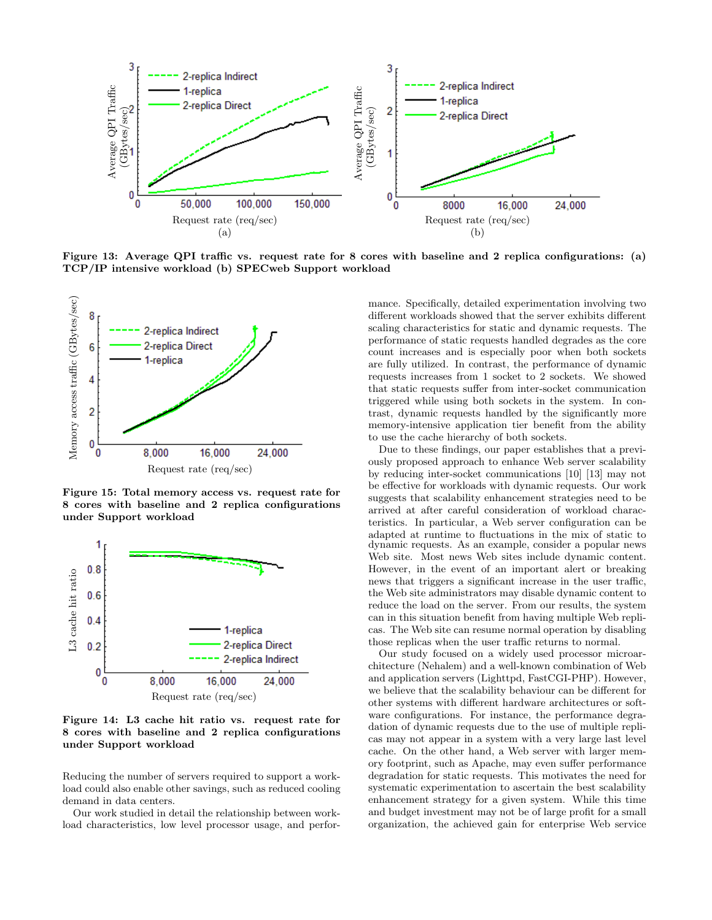

Figure 13: Average QPI traffic vs. request rate for 8 cores with baseline and 2 replica configurations: (a) TCP/IP intensive workload (b) SPECweb Support workload



Figure 15: Total memory access vs. request rate for 8 cores with baseline and 2 replica configurations under Support workload



Figure 14: L3 cache hit ratio vs. request rate for 8 cores with baseline and 2 replica configurations under Support workload

Reducing the number of servers required to support a workload could also enable other savings, such as reduced cooling demand in data centers.

Our work studied in detail the relationship between workload characteristics, low level processor usage, and performance. Specifically, detailed experimentation involving two different workloads showed that the server exhibits different scaling characteristics for static and dynamic requests. The performance of static requests handled degrades as the core count increases and is especially poor when both sockets are fully utilized. In contrast, the performance of dynamic requests increases from 1 socket to 2 sockets. We showed that static requests suffer from inter-socket communication triggered while using both sockets in the system. In contrast, dynamic requests handled by the significantly more memory-intensive application tier benefit from the ability to use the cache hierarchy of both sockets.

Due to these findings, our paper establishes that a previously proposed approach to enhance Web server scalability by reducing inter-socket communications [10] [13] may not be effective for workloads with dynamic requests. Our work suggests that scalability enhancement strategies need to be arrived at after careful consideration of workload characteristics. In particular, a Web server configuration can be adapted at runtime to fluctuations in the mix of static to dynamic requests. As an example, consider a popular news Web site. Most news Web sites include dynamic content. However, in the event of an important alert or breaking news that triggers a significant increase in the user traffic, the Web site administrators may disable dynamic content to reduce the load on the server. From our results, the system can in this situation benefit from having multiple Web replicas. The Web site can resume normal operation by disabling those replicas when the user traffic returns to normal.

Our study focused on a widely used processor microarchitecture (Nehalem) and a well-known combination of Web and application servers (Lighttpd, FastCGI-PHP). However, we believe that the scalability behaviour can be different for other systems with different hardware architectures or software configurations. For instance, the performance degradation of dynamic requests due to the use of multiple replicas may not appear in a system with a very large last level cache. On the other hand, a Web server with larger memory footprint, such as Apache, may even suffer performance degradation for static requests. This motivates the need for systematic experimentation to ascertain the best scalability enhancement strategy for a given system. While this time and budget investment may not be of large profit for a small organization, the achieved gain for enterprise Web service